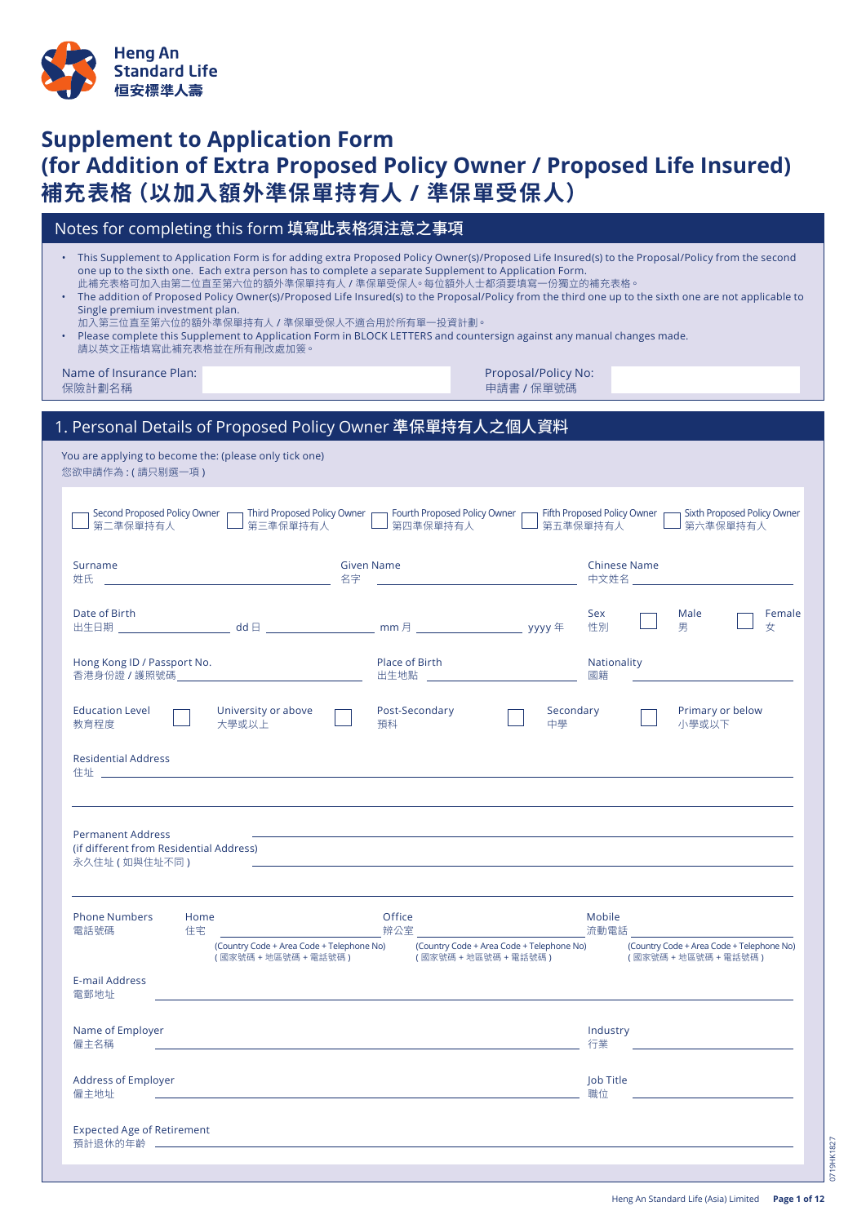

# **Supplement to Application Form (for Addition of Extra Proposed Policy Owner / Proposed Life Insured) 補充表格(以加入額外準保單持有人 / 準保單受保人)**

| Notes for completing this form 填寫此表格須注意之事項                                                                                                                                                                                                                                                                                                                                                                                                                                                                                                                                                                                                                                                                         |                                                                                                                    |  |
|--------------------------------------------------------------------------------------------------------------------------------------------------------------------------------------------------------------------------------------------------------------------------------------------------------------------------------------------------------------------------------------------------------------------------------------------------------------------------------------------------------------------------------------------------------------------------------------------------------------------------------------------------------------------------------------------------------------------|--------------------------------------------------------------------------------------------------------------------|--|
| This Supplement to Application Form is for adding extra Proposed Policy Owner(s)/Proposed Life Insured(s) to the Proposal/Policy from the second<br>one up to the sixth one. Each extra person has to complete a separate Supplement to Application Form.<br>此補充表格可加入由第二位直至第六位的額外準保單持有人/準保單受保人。每位額外人士都須要填寫一份獨立的補充表格。<br>The addition of Proposed Policy Owner(s)/Proposed Life Insured(s) to the Proposal/Policy from the third one up to the sixth one are not applicable to<br>Single premium investment plan.<br>加入第三位直至第六位的額外準保單持有人 / 準保單受保人不適合用於所有單一投資計劃。<br>Please complete this Supplement to Application Form in BLOCK LETTERS and countersign against any manual changes made.<br>請以英文正楷填寫此補充表格並在所有刪改處加簽。 |                                                                                                                    |  |
| Name of Insurance Plan:<br>保險計劃名稱                                                                                                                                                                                                                                                                                                                                                                                                                                                                                                                                                                                                                                                                                  | Proposal/Policy No:<br>申請書 / 保單號碼                                                                                  |  |
| 1. Personal Details of Proposed Policy Owner 準保單持有人之個人資料                                                                                                                                                                                                                                                                                                                                                                                                                                                                                                                                                                                                                                                           |                                                                                                                    |  |
| You are applying to become the: (please only tick one)<br>您欲申請作為 : ( 請只剔選一項 )                                                                                                                                                                                                                                                                                                                                                                                                                                                                                                                                                                                                                                      |                                                                                                                    |  |
| Second Proposed Policy Owner<br>Third Proposed Policy Owner<br>第二準保單持有人<br>第四準保單持有人<br>第三準保單持有人                                                                                                                                                                                                                                                                                                                                                                                                                                                                                                                                                                                                                    | Fourth Proposed Policy Owner<br>Fifth Proposed Policy Owner<br>Sixth Proposed Policy Owner<br>第五準保單持有人<br>第六準保單持有人 |  |

| └─┘ 第二凖保単持有人                                                                           | └─┘ 第三凖保単持有人                                                                                                                                                                                                                  | └─┘ 第四準保単持有人                                           | └─┘ 第五凖保単持有人    | └─┘ 第六凖保単持有人                                                                                                                                                                                                                    |
|----------------------------------------------------------------------------------------|-------------------------------------------------------------------------------------------------------------------------------------------------------------------------------------------------------------------------------|--------------------------------------------------------|-----------------|---------------------------------------------------------------------------------------------------------------------------------------------------------------------------------------------------------------------------------|
| Surname                                                                                |                                                                                                                                                                                                                               | <b>Given Name</b>                                      |                 | <b>Chinese Name</b>                                                                                                                                                                                                             |
| Date of Birth                                                                          |                                                                                                                                                                                                                               |                                                        | Sex<br>性別       | Male<br>Female<br>男<br>女                                                                                                                                                                                                        |
| Hong Kong ID / Passport No.                                                            |                                                                                                                                                                                                                               | Place of Birth<br>出生地點 _______________________________ | 國籍              | Nationality<br><u> 1989 - Andrea State Barbara, amerikan personal di sebagai personal di sebagai personal di sebagai personal di</u>                                                                                            |
| <b>Education Level</b><br>教育程度                                                         | University or above<br>大學或以上                                                                                                                                                                                                  | Post-Secondary<br>預科                                   | Secondary<br>中學 | Primary or below<br>小學或以下                                                                                                                                                                                                       |
| <b>Residential Address</b>                                                             |                                                                                                                                                                                                                               |                                                        |                 |                                                                                                                                                                                                                                 |
|                                                                                        |                                                                                                                                                                                                                               |                                                        |                 |                                                                                                                                                                                                                                 |
| <b>Permanent Address</b><br>(if different from Residential Address)<br>永久住址 ( 如與住址不同 ) |                                                                                                                                                                                                                               |                                                        |                 | the contract of the contract of the contract of the contract of the contract of the contract of the contract of                                                                                                                 |
| <b>Phone Numbers</b><br>Home<br>住宅<br>電話號碼                                             |                                                                                                                                                                                                                               | Office                                                 | Mobile          | <b>サンストランス アンストランス かんきょう アンストランス かんきょう かいしょう かいしょう かいしょう かいしょう かいしょう かいしょう かいしょう かいしょう かいしょう かいしょう かいしょう かいしょう かいしょう</b>                                                                                                        |
|                                                                                        | (國家號碼 + 地區號碼 + 電話號碼)         (國家號碼 + 地區號碼 + 電話號碼)                                                                                                                                                                             |                                                        |                 | (Country Code + Area Code + Telephone No) (Country Code + Area Code + Telephone No) (Country Code + Area Code + Telephone No)<br>(國家號碼 + 地區號碼 + 電話號碼 )                                                                          |
| E-mail Address<br>雷郵地址                                                                 |                                                                                                                                                                                                                               |                                                        |                 |                                                                                                                                                                                                                                 |
| Name of Employer                                                                       | - 僱主名稱 - アンディア - アンディア - アンディア - アンディア - アンディア - アンディア - アンディア - アンディア - アンディア - アンディア - アンディア - アンディア - アンディア - アンディア - アンディア - アンディア - アンディア - アンディア - アンディア - アンディア - アンディア - アンディア - アンディア - アンディア - アンディア - アンディア - アンディ |                                                        | Industry<br>行業  | a di kacamatan ing Kabupatèn Kabupatèn Kabupatèn Kabupatèn Kabupatèn Kabupatèn Kabupatèn Kabupatèn Kabupatèn K<br>Kabupatèn Kabupatèn Kabupatèn Kabupatèn Kabupatèn Kabupatèn Kabupatèn Kabupatèn Kabupatèn Kabupatèn Kabupatèn |
| Address of Employer<br>僱主地址                                                            | <u> 1980 - Andrea Station, amerikan bizkaitar (h. 1980).</u>                                                                                                                                                                  |                                                        | Job Title<br>職位 |                                                                                                                                                                                                                                 |
| <b>Expected Age of Retirement</b>                                                      |                                                                                                                                                                                                                               |                                                        |                 |                                                                                                                                                                                                                                 |
|                                                                                        |                                                                                                                                                                                                                               |                                                        |                 |                                                                                                                                                                                                                                 |

0719HK1827

0719HK1827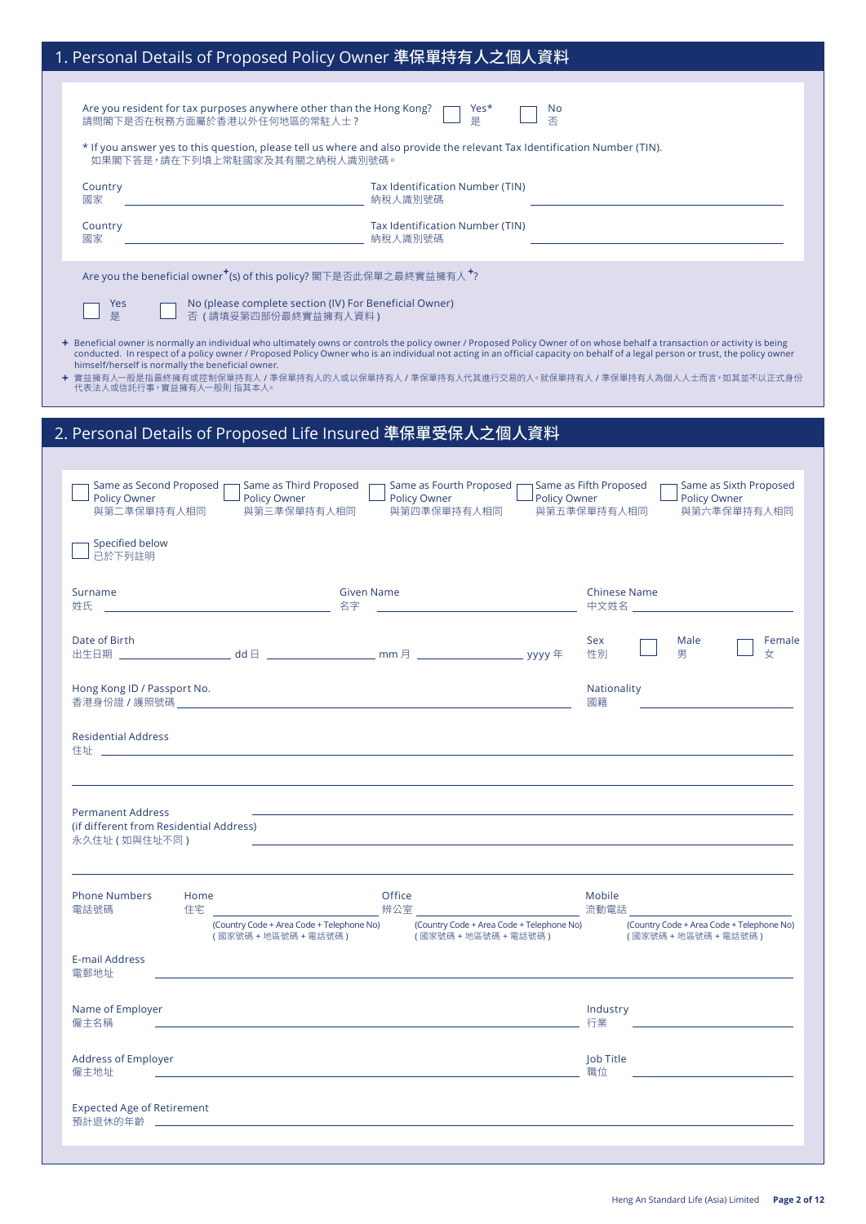|                                                                               | 1. Personal Details of Proposed Policy Owner 準保單持有人之個人資料                                                                                                    |                                                        |                                                              |                                                                                                                                                                                                                                                                         |
|-------------------------------------------------------------------------------|-------------------------------------------------------------------------------------------------------------------------------------------------------------|--------------------------------------------------------|--------------------------------------------------------------|-------------------------------------------------------------------------------------------------------------------------------------------------------------------------------------------------------------------------------------------------------------------------|
|                                                                               | Are you resident for tax purposes anywhere other than the Hong Kong?<br>請問閣下是否在稅務方面屬於香港以外任何地區的常駐人士?                                                         | Yes*                                                   | No<br>否                                                      |                                                                                                                                                                                                                                                                         |
|                                                                               | * If you answer yes to this question, please tell us where and also provide the relevant Tax Identification Number (TIN).<br>如果閣下答是,請在下列填上常駐國家及其有關之納稅人識別號碼。 |                                                        |                                                              |                                                                                                                                                                                                                                                                         |
| Country                                                                       |                                                                                                                                                             | Tax Identification Number (TIN)<br>納稅人識別號碼             |                                                              |                                                                                                                                                                                                                                                                         |
| 國家<br>Country<br>國家                                                           |                                                                                                                                                             | Tax Identification Number (TIN)                        |                                                              |                                                                                                                                                                                                                                                                         |
|                                                                               | Are you the beneficial owner <sup>+</sup> (s) of this policy? 閣下是否此保單之最終實益擁有人 <sup>+</sup> ?                                                                |                                                        |                                                              |                                                                                                                                                                                                                                                                         |
| Yes                                                                           | No (please complete section (IV) For Beneficial Owner)                                                                                                      |                                                        |                                                              |                                                                                                                                                                                                                                                                         |
| 是                                                                             | 否(請填妥第四部份最終實益擁有人資料)                                                                                                                                         |                                                        |                                                              | + Beneficial owner is normally an individual who ultimately owns or controls the policy owner / Proposed Policy Owner of on whose behalf a transaction or activity is being                                                                                             |
| himself/herself is normally the beneficial owner.<br>代表法人或信託行事,實益擁有人一般則 指其本人。 |                                                                                                                                                             |                                                        |                                                              | conducted. In respect of a policy owner / Proposed Policy Owner who is an individual not acting in an official capacity on behalf of a legal person or trust, the policy owner<br>╋ 實益擁有人一般是指最終擁有或控制保單持有人/準保單持有人的人或以保單持有人/準保單持有人代其進行交易的人。就保單持有人/準保單持有人為個人人士而言,如其並不以正式身份 |
|                                                                               | 2. Personal Details of Proposed Life Insured 準保單受保人之個人資料                                                                                                    |                                                        |                                                              |                                                                                                                                                                                                                                                                         |
| Same as Second Proposed<br>Policy Owner<br>與第二準保單持有人相同                        | Same as Third Proposed<br><b>Policy Owner</b><br>與第三準保單持有人相同                                                                                                | Same as Fourth Proposed<br>Policy Owner<br>與第四準保單持有人相同 | Same as Fifth Proposed<br><b>Policy Owner</b><br>與第五準保單持有人相同 | Same as Sixth Proposed<br>Policy Owner<br>與第六準保單持有人相同                                                                                                                                                                                                                   |
| <b>Specified below</b><br>已於下列註明                                              |                                                                                                                                                             |                                                        |                                                              |                                                                                                                                                                                                                                                                         |
| Surname<br>姓氏                                                                 | <u> 1989 - Johann Barbara, martxa eta idazlea </u><br>名字                                                                                                    | <b>Given Name</b>                                      |                                                              | <b>Chinese Name</b><br>中文姓名 いっこうしゃ しんしゃく                                                                                                                                                                                                                                |
| Date of Birth                                                                 |                                                                                                                                                             |                                                        | Sex<br>性別                                                    | Male<br>Female<br>男<br>女                                                                                                                                                                                                                                                |
| Hong Kong ID / Passport No.<br>香港身份證 / 護照號碼 _                                 | and the control of the control of the control of the control of the control of the control of the control of the                                            |                                                        | <b>Nationality</b><br>國籍                                     |                                                                                                                                                                                                                                                                         |
| <b>Residential Address</b>                                                    |                                                                                                                                                             |                                                        |                                                              |                                                                                                                                                                                                                                                                         |
| <b>Permanent Address</b>                                                      |                                                                                                                                                             |                                                        |                                                              |                                                                                                                                                                                                                                                                         |
| (if different from Residential Address)                                       |                                                                                                                                                             |                                                        |                                                              |                                                                                                                                                                                                                                                                         |
| <b>Phone Numbers</b><br>Home<br>電話號碼                                          |                                                                                                                                                             | Office                                                 | Mobile                                                       |                                                                                                                                                                                                                                                                         |
|                                                                               |                                                                                                                                                             |                                                        |                                                              |                                                                                                                                                                                                                                                                         |
| E-mail Address<br>電郵地址                                                        |                                                                                                                                                             |                                                        |                                                              |                                                                                                                                                                                                                                                                         |
| Name of Employer<br>僱主名稱                                                      | <u> 1980 - Andrea Stadt, fransk politiker (d. 1980)</u>                                                                                                     |                                                        | Industry                                                     |                                                                                                                                                                                                                                                                         |
|                                                                               |                                                                                                                                                             |                                                        | Job Title                                                    |                                                                                                                                                                                                                                                                         |
| Address of Employer<br>僱主地址                                                   | <u> 1980 - Andrea Station, amerikansk politik (d. 1980)</u>                                                                                                 |                                                        | 職位                                                           | <u> 1986 - Johann Stein, mars an deus Amerikaansk kommunister (</u>                                                                                                                                                                                                     |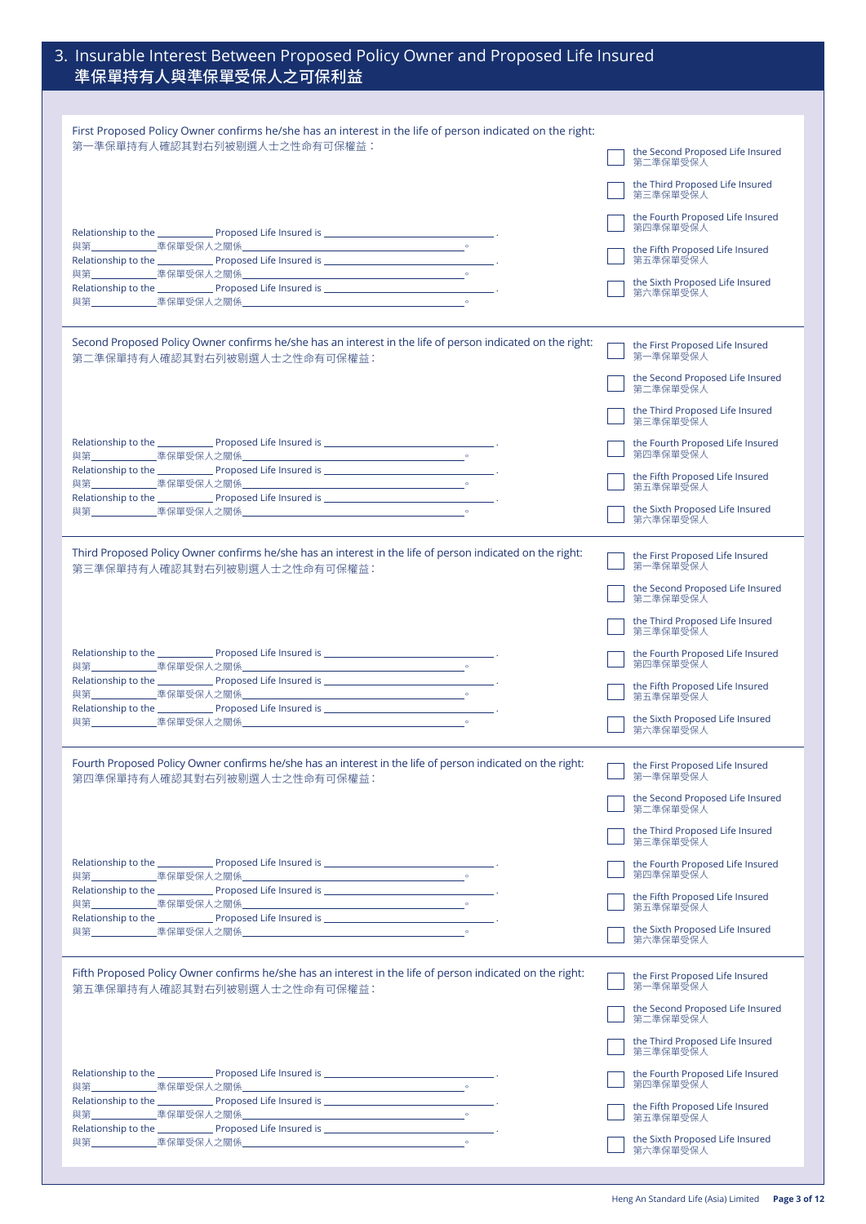| 3. Insurable Interest Between Proposed Policy Owner and Proposed Life Insured<br>準保單持有人與準保單受保人之可保利益                                        |                                                                                             |
|--------------------------------------------------------------------------------------------------------------------------------------------|---------------------------------------------------------------------------------------------|
|                                                                                                                                            |                                                                                             |
| First Proposed Policy Owner confirms he/she has an interest in the life of person indicated on the right:<br>第一準保單持有人確認其對右列被剔選人士之性命有可保權益:  | the Second Proposed Life Insured<br>第二準保單受保人                                                |
|                                                                                                                                            | the Third Proposed Life Insured<br>第三準保單受保人                                                 |
|                                                                                                                                            | the Fourth Proposed Life Insured<br>第四準保單受保人                                                |
|                                                                                                                                            | the Fifth Proposed Life Insured<br>第五準保單受保人                                                 |
|                                                                                                                                            | the Sixth Proposed Life Insured<br>第六準保單受保人                                                 |
| Second Proposed Policy Owner confirms he/she has an interest in the life of person indicated on the right:<br>第二準保單持有人確認其對右列被剔選人士之性命有可保權益: | the First Proposed Life Insured<br>第一準保單受保人                                                 |
|                                                                                                                                            | the Second Proposed Life Insured<br>第二準保單受保人                                                |
|                                                                                                                                            | the Third Proposed Life Insured<br>第三準保單受保人                                                 |
|                                                                                                                                            | the Fourth Proposed Life Insured<br>第四準保單受保人                                                |
|                                                                                                                                            | the Fifth Proposed Life Insured<br>第五準保單受保人                                                 |
|                                                                                                                                            | the Sixth Proposed Life Insured<br>第六準保單受保人                                                 |
| Third Proposed Policy Owner confirms he/she has an interest in the life of person indicated on the right:<br>第三準保單持有人確認其對右列被剔撰人士之性命有可保權益:  | the First Proposed Life Insured<br>第一準保單受保人                                                 |
|                                                                                                                                            | the Second Proposed Life Insured<br>第二準保單受保人<br>the Third Proposed Life Insured<br>第三準保單受保人 |
|                                                                                                                                            | the Fourth Proposed Life Insured<br>第四準保單受保人                                                |
|                                                                                                                                            | the Fifth Proposed Life Insured<br>第五準保單受保人                                                 |
|                                                                                                                                            | the Sixth Proposed Life Insured<br>第六準保單受保人                                                 |
| Fourth Proposed Policy Owner confirms he/she has an interest in the life of person indicated on the right:<br>第四準保單持有人確認其對右列被剔選人士之性命有可保權益: | the First Proposed Life Insured<br>第一準保單受保人                                                 |
|                                                                                                                                            | the Second Proposed Life Insured<br>第二準保單受保人                                                |
|                                                                                                                                            | the Third Proposed Life Insured<br>第三準保單受保人                                                 |
|                                                                                                                                            | the Fourth Proposed Life Insured<br>第四準保單受保人                                                |
|                                                                                                                                            | the Fifth Proposed Life Insured<br>第五準保單受保人                                                 |
|                                                                                                                                            | the Sixth Proposed Life Insured<br>第六準保單受保人                                                 |
| Fifth Proposed Policy Owner confirms he/she has an interest in the life of person indicated on the right:<br>第五準保單持有人確認其對右列被剔選人士之性命有可保權益:  | the First Proposed Life Insured<br>第一準保單受保人                                                 |
|                                                                                                                                            | the Second Proposed Life Insured<br>第二準保單受保人                                                |
|                                                                                                                                            | the Third Proposed Life Insured<br>第三準保單受保人                                                 |
|                                                                                                                                            | the Fourth Proposed Life Insured<br>第四準保單受保人                                                |
|                                                                                                                                            | the Fifth Proposed Life Insured<br>第五準保單受保人                                                 |
|                                                                                                                                            | the Sixth Proposed Life Insured<br>第六準保單受保人                                                 |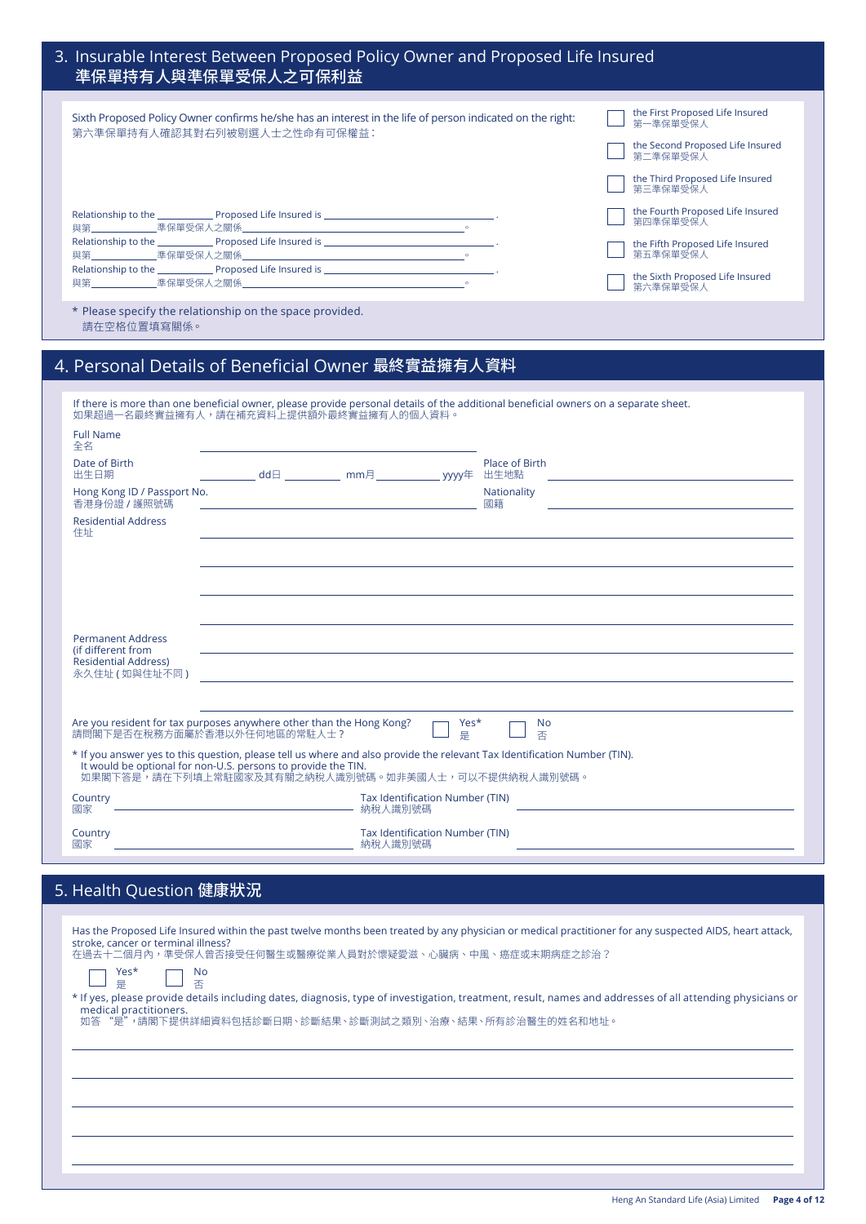| 3. Insurable Interest Between Proposed Policy Owner and Proposed Life Insured<br>準保單持有人與準保單受保人之可保利益                                                                                                                                                |                                                                                                                                            |  |  |  |
|----------------------------------------------------------------------------------------------------------------------------------------------------------------------------------------------------------------------------------------------------|--------------------------------------------------------------------------------------------------------------------------------------------|--|--|--|
| Sixth Proposed Policy Owner confirms he/she has an interest in the life of person indicated on the right:<br>第六準保單持有人確認其對右列被剔選人士之性命有可保權益:                                                                                                          | the First Proposed Life Insured<br>第一準保單受保人<br>the Second Proposed Life Insured<br>第二準保單受保入                                                |  |  |  |
|                                                                                                                                                                                                                                                    | the Third Proposed Life Insured<br>第三準保單受保人<br>the Fourth Proposed Life Insured<br>第四準保單受保人<br>the Fifth Proposed Life Insured<br>第五準保單受保人 |  |  |  |
| * Please specify the relationship on the space provided.                                                                                                                                                                                           | the Sixth Proposed Life Insured<br>第六準保單受保人                                                                                                |  |  |  |
| 請在空格位置填寫關係。<br>4. Personal Details of Beneficial Owner 最終實益擁有人資料<br>If there is more than one beneficial owner, please provide personal details of the additional beneficial owners on a separate sheet.<br>如果超過一名最終實益擁有人,請在補充資料上提供額外最終實益擁有人的個人資料。 |                                                                                                                                            |  |  |  |
| <b>Full Name</b><br>全名<br>Date of Birth<br>Place of Birth<br>___________ dd日 ____________ mm月 ______________ yyyy年 出生地點<br>出生日期                                                                                                                    | <u> 1989 - Johann John Stein, markin fan it ferskearre fan it ferskearre fan it ferskearre fan it ferskearre fan</u>                       |  |  |  |
| Hong Kong ID / Passport No.<br>Nationality<br>香港身份證 / 護照號碼<br>國籍<br><b>Residential Address</b><br>住址                                                                                                                                               | and the contract of the contract of the contract of the contract of the contract of the contract of the contract of                        |  |  |  |
|                                                                                                                                                                                                                                                    |                                                                                                                                            |  |  |  |

| <b>Permanent Address</b><br>(if different from<br><b>Residential Address)</b><br>永久住址 (如與住址不同)                                                                                                                                                   |                                                                                                                             |  |
|--------------------------------------------------------------------------------------------------------------------------------------------------------------------------------------------------------------------------------------------------|-----------------------------------------------------------------------------------------------------------------------------|--|
|                                                                                                                                                                                                                                                  | Are you resident for tax purposes anywhere other than the Hong Kong?<br>Yes*<br>No<br>請問閣下是否在稅務方面屬於香港以外任何地區的常駐人士?<br>否<br>是 |  |
| * If you answer yes to this question, please tell us where and also provide the relevant Tax Identification Number (TIN).<br>It would be optional for non-U.S. persons to provide the TIN.<br>如果閣下答是,請在下列填上常駐國家及其有關之納稅人識別號碼。如非美國人士,可以不提供納稅人識別號碼。 |                                                                                                                             |  |
| Country<br>國家                                                                                                                                                                                                                                    | Tax Identification Number (TIN)<br>納稅人識別號碼                                                                                  |  |
| Country<br>國家                                                                                                                                                                                                                                    | Tax Identification Number (TIN)<br>納稅人識別號碼                                                                                  |  |

| 5. Health Question 健康狀況                                                                                                                                                                                                                                 |
|---------------------------------------------------------------------------------------------------------------------------------------------------------------------------------------------------------------------------------------------------------|
|                                                                                                                                                                                                                                                         |
| Has the Proposed Life Insured within the past twelve months been treated by any physician or medical practitioner for any suspected AIDS, heart attack,<br>stroke, cancer or terminal illness?<br>在過去十二個月內,準受保人曾否接受任何醫生或醫療從業人員對於懷疑愛滋、心臟病、中風、癌症或末期病症之診治? |
| $\frac{N_{\rm O}}{45}$                                                                                                                                                                                                                                  |
| * If yes, please provide details including dates, diagnosis, type of investigation, treatment, result, names and addresses of all attending physicians or<br>medical practitioners.                                                                     |
| 如答 "是",請閣下提供詳細資料包括診斷日期、診斷結果、診斷測試之類別、治療、結果、所有診治醫生的姓名和地址。                                                                                                                                                                                                 |
|                                                                                                                                                                                                                                                         |
|                                                                                                                                                                                                                                                         |
|                                                                                                                                                                                                                                                         |
|                                                                                                                                                                                                                                                         |
|                                                                                                                                                                                                                                                         |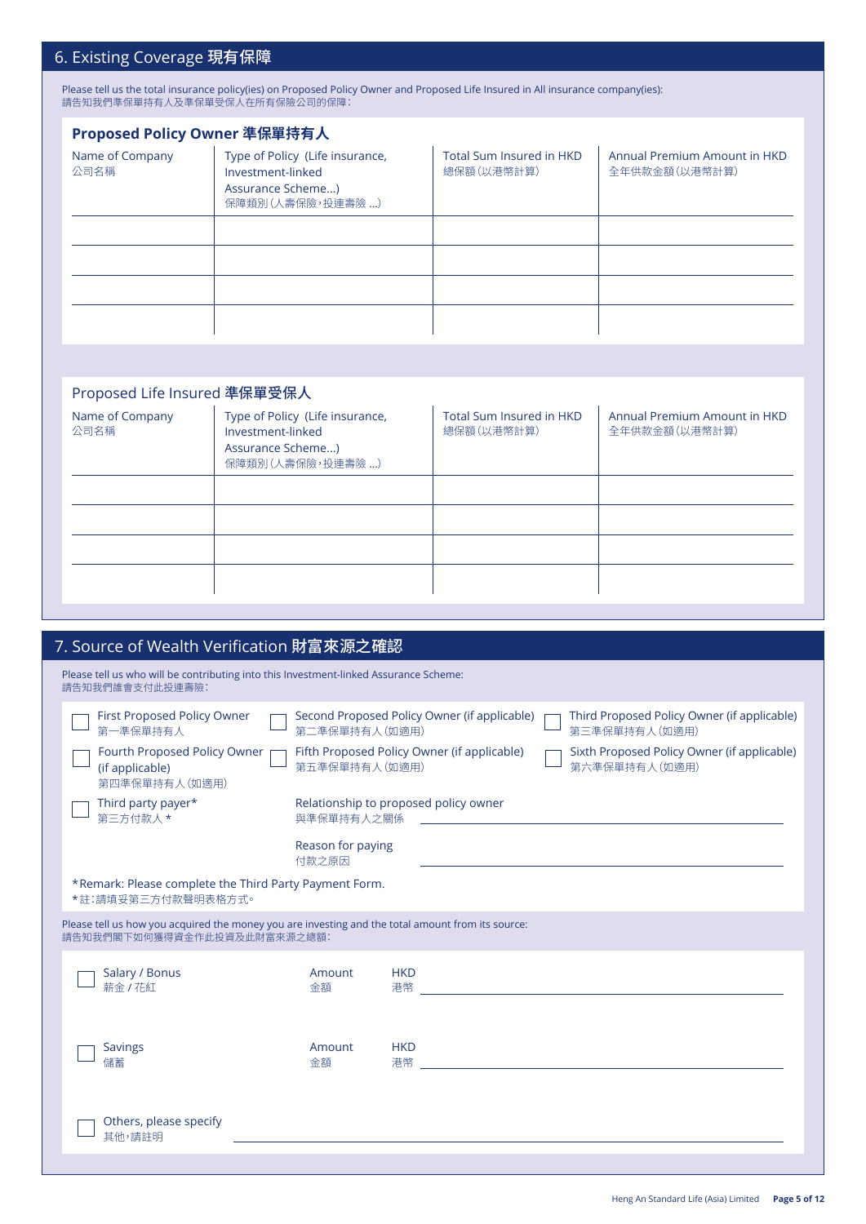# 6. Existing Coverage 現有保障

Please tell us the total insurance policy(ies) on Proposed Policy Owner and Proposed Life Insured in All insurance company(ies): 請告知我們準保單持有人及準保單受保人在所有保險公司的保障:

| Proposed Policy Owner 準保單持有人 |                                                                                               |                                               |                                               |  |
|------------------------------|-----------------------------------------------------------------------------------------------|-----------------------------------------------|-----------------------------------------------|--|
| Name of Company<br>公司名稱      | Type of Policy (Life insurance,<br>Investment-linked<br>Assurance Scheme)<br>保障類別(人壽保險,投連壽險 ) | <b>Total Sum Insured in HKD</b><br>總保額(以港幣計算) | Annual Premium Amount in HKD<br>全年供款金額(以港幣計算) |  |
|                              |                                                                                               |                                               |                                               |  |
|                              |                                                                                               |                                               |                                               |  |
|                              |                                                                                               |                                               |                                               |  |
|                              |                                                                                               |                                               |                                               |  |
|                              |                                                                                               |                                               |                                               |  |

## Proposed Life Insured 準保單受保人

| Please tell us who will be contributing into this Investment-linked Assurance Scheme:<br>請告知我們誰會支付此投連壽險:<br>First Proposed Policy Owner<br>Second Proposed Policy Owner (if applicable)<br>Third Proposed Policy Owner (if applicable)<br>第一準保單持有人<br>第二準保單持有人 (如適用)<br>第三準保單持有人 (如適用)<br>Fourth Proposed Policy Owner<br>Fifth Proposed Policy Owner (if applicable)<br>Sixth Proposed Policy Owner (if applicable) |  |
|----------------------------------------------------------------------------------------------------------------------------------------------------------------------------------------------------------------------------------------------------------------------------------------------------------------------------------------------------------------------------------------------------------------------|--|
|                                                                                                                                                                                                                                                                                                                                                                                                                      |  |
|                                                                                                                                                                                                                                                                                                                                                                                                                      |  |
| 第五準保單持有人 (如適用)<br>第六準保單持有人 (如適用)<br>(if applicable)<br>第四準保單持有人(如適用)                                                                                                                                                                                                                                                                                                                                                 |  |
| Relationship to proposed policy owner<br>Third party payer*<br>第三方付款人 *<br>與準保單持有人之關係                                                                                                                                                                                                                                                                                                                                |  |
| Reason for paying<br>付款之原因                                                                                                                                                                                                                                                                                                                                                                                           |  |
| *Remark: Please complete the Third Party Payment Form.<br>*註:請填妥第三方付款聲明表格方式。                                                                                                                                                                                                                                                                                                                                         |  |
| Please tell us how you acquired the money you are investing and the total amount from its source:<br>請告知我們閣下如何獲得資金作此投資及此財富來源之總額:                                                                                                                                                                                                                                                                                     |  |
| Salary / Bonus<br><b>HKD</b><br>Amount<br>薪金 / 花紅<br>港幣<br>金額                                                                                                                                                                                                                                                                                                                                                        |  |
| <b>HKD</b><br><b>Savings</b><br>Amount<br>港幣<br>儲蓄<br>金額                                                                                                                                                                                                                                                                                                                                                             |  |
| Others, please specify<br>其他,請註明                                                                                                                                                                                                                                                                                                                                                                                     |  |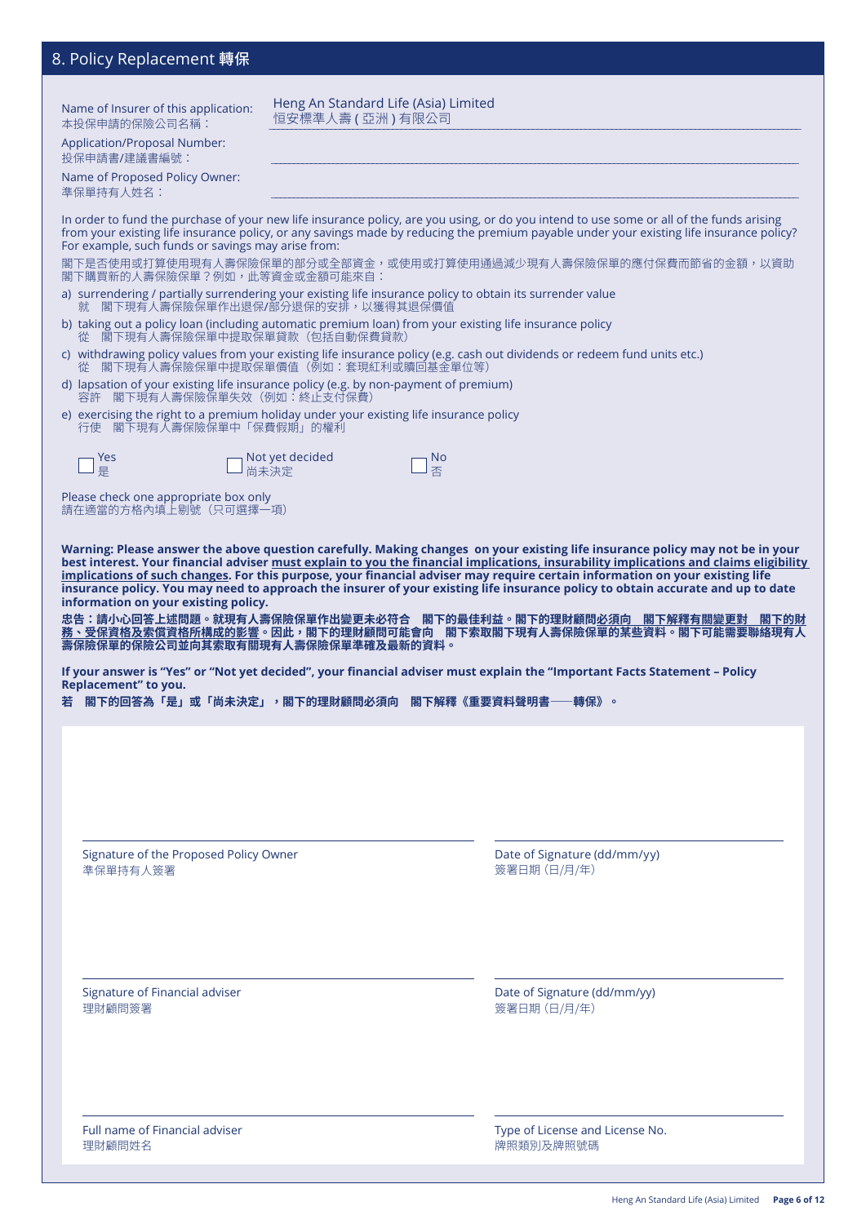# 8. Policy Replacement 轉保 Name of Insurer of this application: 本投保申請的保險公司名稱: Application/Proposal Number: 投保申請書/建議書編號: Name of Proposed Policy Owner: 準保單持有人姓名: \_\_\_\_\_\_\_\_\_\_\_\_\_\_\_\_\_\_\_\_\_\_\_\_\_\_\_\_\_\_\_\_\_\_\_\_\_\_\_\_\_\_\_\_\_\_\_\_\_\_\_\_\_\_\_\_\_\_\_\_\_\_\_\_\_\_\_\_\_\_\_\_\_\_\_\_\_\_\_\_\_\_\_\_\_\_\_\_\_\_\_\_\_\_\_\_\_\_\_\_\_\_\_\_\_\_\_\_\_\_\_\_\_\_\_\_\_\_\_\_ Signature of Financial adviser 理財顧問簽署 Date of Signature (dd/mm/yy) 簽署日期(日/月/年) Signature of the Proposed Policy Owner 準保單持有人簽署 Date of Signature (dd/mm/yy) 簽署日期(日/月/年) In order to fund the purchase of your new life insurance policy, are you using, or do you intend to use some or all of the funds arising from your existing life insurance policy, or any savings made by reducing the premium payable under your existing life insurance policy? For example, such funds or savings may arise from: 閣下是否使用或打算使用現有人壽保險保單的部分或全部資金,或使用或打算使用通過減少現有人壽保險保單的應付保費而節省的金額,以資助 閣下購買新的人壽保險保單?例如,此等資金或金額可能來自: a) surrendering / partially surrendering your existing life insurance policy to obtain its surrender value 就 閣下現有人壽保險保單作出退保/部分退保的安排,以獲得其退保價值 b) taking out a policy loan (including automatic premium loan) from your existing life insurance policy 從 閣下現有人壽保險保單中提取保單貸款(包括自動保費貸款) c) withdrawing policy values from your existing life insurance policy (e.g. cash out dividends or redeem fund units etc.) 從 閣下現有人壽保險保單中提取保單價值(例如:套現紅利或贖回基金單位等) d) lapsation of your existing life insurance policy (e.g. by non-payment of premium) 容許 閣下現有人壽保險保單失效(例如:終止支付保費) e) exercising the right to a premium holiday under your existing life insurance policy 行使 閣下現有人壽保險保單中「保費假期」的權利 Yes Not yet decided No ■ Not, Please check one appropriate box only 請在適當的方格內填上剔號(只可選擇一項) **Warning: Please answer the above question carefully. Making changes on your existing life insurance policy may not be in your best interest. Your financial adviser must explain to you the financial implications, insurability implications and claims eligibility implications of such changes. For this purpose, your financial adviser may require certain information on your existing life insurance policy. You may need to approach the insurer of your existing life insurance policy to obtain accurate and up to date information on your existing policy. 忠告:請小心回答上述問題。就現有人壽保險保單作出變更未必符合 閣下的最佳利益。閣下的理財顧問必須向 閣下解釋有關變更對 閣下的財 務、受保資格及索償資格所構成的影響。因此,閣下的理財顧問可能會向 閣下索取閣下現有人壽保險保單的某些資料。閣下可能需要聯絡現有人 壽保險保單的保險公司並向其索取有關現有人壽保險保單準確及最新的資料。 If your answer is "Yes" or "Not yet decided", your financial adviser must explain the "Important Facts Statement – Policy Replacement" to you. 若 閣下的回答為「是」或「尚未決定」,閣下的理財顧問必須向 閣下解釋《重要資料聲明書⸺轉保》。** Heng An Standard Life (Asia) Limited 恒安標準人壽 ( 亞洲 ) 有限公司

Full name of Financial adviser 理財顧問姓名

Type of License and License No. 牌照類別及牌照號碼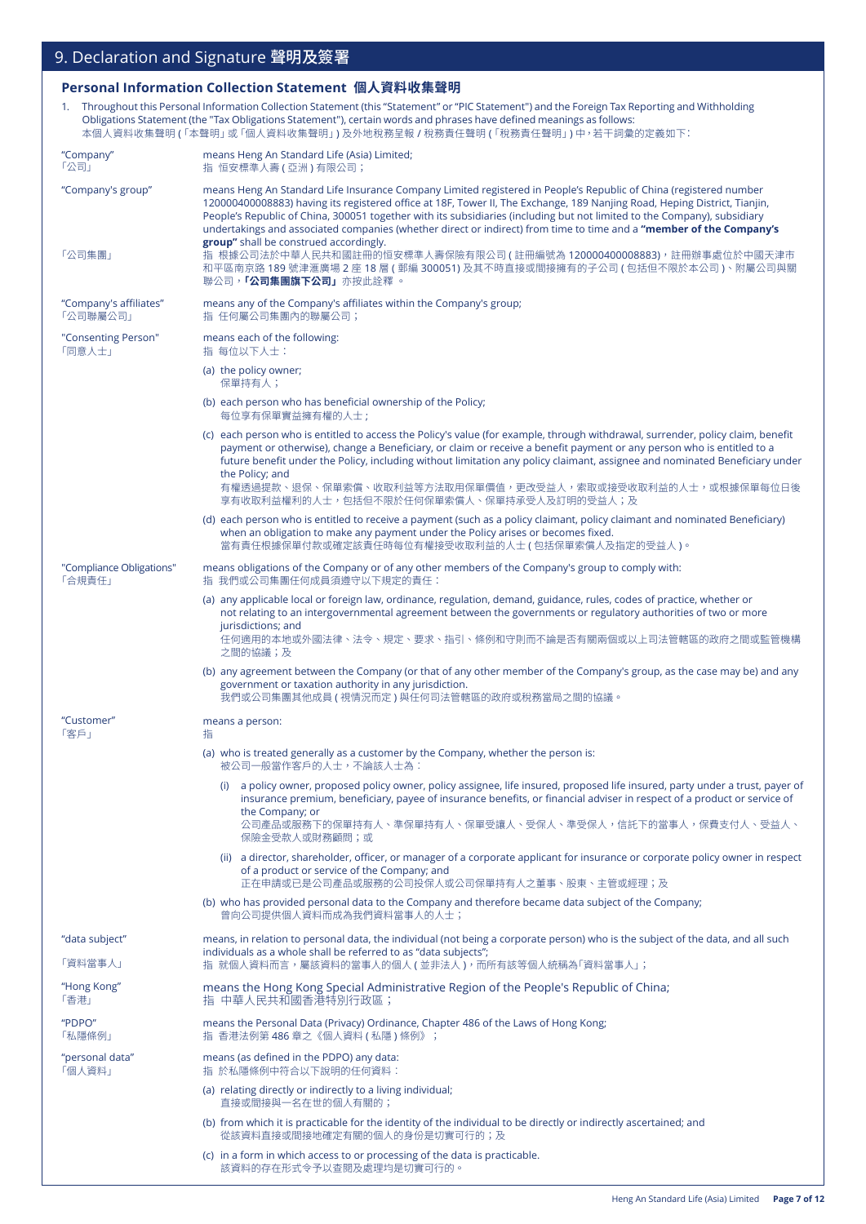### **Personal Information Collection Statement 個人資料收集聲明**

1. Throughout this Personal Information Collection Statement (this "Statement" or "PIC Statement") and the Foreign Tax Reporting and Withholding Obligations Statement (the "Tax Obligations Statement"), certain words and phrases have defined meanings as follows: 本個人資料收集聲明 (「本聲明」或「個人資料收集聲明」) 及外地稅務呈報 / 稅務責任聲明 (「稅務責任聲明」) 中,若干詞彙的定義如下:

| "Company"<br>「公司」                  | means Heng An Standard Life (Asia) Limited;<br>指 恒安標準人壽 (亞洲)有限公司;                                                                                                                                                                                                                                                                                                                                                                                                                                                                           |  |
|------------------------------------|---------------------------------------------------------------------------------------------------------------------------------------------------------------------------------------------------------------------------------------------------------------------------------------------------------------------------------------------------------------------------------------------------------------------------------------------------------------------------------------------------------------------------------------------|--|
| "Company's group"                  | means Heng An Standard Life Insurance Company Limited registered in People's Republic of China (registered number<br>120000400008883) having its registered office at 18F, Tower II, The Exchange, 189 Nanjing Road, Heping District, Tianjin,<br>People's Republic of China, 300051 together with its subsidiaries (including but not limited to the Company), subsidiary<br>undertakings and associated companies (whether direct or indirect) from time to time and a "member of the Company's<br>group" shall be construed accordingly. |  |
| 「公司集團」                             | 指 根據公司法於中華人民共和國註冊的恒安標準人壽保險有限公司 ( 註冊編號為 120000400008883),註冊辦事處位於中國天津市<br>和平區南京路 189 號津滙廣場 2 座 18 層 ( 郵編 300051) 及其不時直接或間接擁有的子公司 ( 包括但不限於本公司 )、附屬公司與關<br>聯公司, <b>「公司集團旗下公司」</b> 亦按此詮釋 。                                                                                                                                                                                                                                                                                                                                                       |  |
| "Company's affiliates"<br>「公司聯屬公司」 | means any of the Company's affiliates within the Company's group;<br>指 任何屬公司集團內的聯屬公司;                                                                                                                                                                                                                                                                                                                                                                                                                                                       |  |
| "Consenting Person"<br>「同意人士」      | means each of the following:<br>指 每位以下人士:                                                                                                                                                                                                                                                                                                                                                                                                                                                                                                   |  |
|                                    | (a) the policy owner;<br>保單持有人;                                                                                                                                                                                                                                                                                                                                                                                                                                                                                                             |  |
|                                    | (b) each person who has beneficial ownership of the Policy;<br>每位享有保單實益擁有權的人士;                                                                                                                                                                                                                                                                                                                                                                                                                                                              |  |
|                                    | (c) each person who is entitled to access the Policy's value (for example, through withdrawal, surrender, policy claim, benefit<br>payment or otherwise), change a Beneficiary, or claim or receive a benefit payment or any person who is entitled to a<br>future benefit under the Policy, including without limitation any policy claimant, assignee and nominated Beneficiary under<br>the Policy; and<br>有權透過提款、退保、保單索償、收取利益等方法取用保單價值,更改受益人,索取或接受收取利益的人士,或根據保單每位日後                                                                     |  |
|                                    | 享有收取利益權利的人士,包括但不限於任何保單索償人、保單持承受人及訂明的受益人;及                                                                                                                                                                                                                                                                                                                                                                                                                                                                                                   |  |
|                                    | (d) each person who is entitled to receive a payment (such as a policy claimant, policy claimant and nominated Beneficiary)<br>when an obligation to make any payment under the Policy arises or becomes fixed.<br>當有責任根據保單付款或確定該責任時每位有權接受收取利益的人士 ( 包括保單索償人及指定的受益人 )。                                                                                                                                                                                                                                                                       |  |
| "Compliance Obligations"<br>「合規責任」 | means obligations of the Company or of any other members of the Company's group to comply with:<br>指 我們或公司集團任何成員須遵守以下規定的責任:                                                                                                                                                                                                                                                                                                                                                                                                                 |  |
|                                    | (a) any applicable local or foreign law, ordinance, regulation, demand, guidance, rules, codes of practice, whether or<br>not relating to an intergovernmental agreement between the governments or regulatory authorities of two or more<br>jurisdictions; and<br>任何適用的本地或外國法律、法令、規定、要求、指引、條例和守則而不論是否有關兩個或以上司法管轄區的政府之間或監管機構                                                                                                                                                                                                                |  |
|                                    | 之間的協議;及<br>(b) any agreement between the Company (or that of any other member of the Company's group, as the case may be) and any<br>government or taxation authority in any jurisdiction.<br> 我們或公司集團其他成員 ( 視情況而定 ) 與任何司法管轄區的政府或稅務當局之間的協議。                                                                                                                                                                                                                                                                                                 |  |
| "Customer"<br>「客戶」                 | means a person:<br>指                                                                                                                                                                                                                                                                                                                                                                                                                                                                                                                        |  |
|                                    | (a) who is treated generally as a customer by the Company, whether the person is:<br>被公司一般常作客戶的人士,不論該人士為:                                                                                                                                                                                                                                                                                                                                                                                                                                   |  |
|                                    | (i) a policy owner, proposed policy owner, policy assignee, life insured, proposed life insured, party under a trust, payer of<br>insurance premium, beneficiary, payee of insurance benefits, or financial adviser in respect of a product or service of<br>the Company; or<br>公司產品或服務下的保單持有人、準保單持有人、保單受讓人、受保人、準受保人,信託下的當事人,保費支付人、受益人、<br>保險金受款人或財務顧問;或                                                                                                                                                                                    |  |
|                                    | (ii) a director, shareholder, officer, or manager of a corporate applicant for insurance or corporate policy owner in respect<br>of a product or service of the Company; and<br>正在申請或已是公司產品或服務的公司投保人或公司保單持有人之董事、股東、主管或經理;及                                                                                                                                                                                                                                                                                                                  |  |
|                                    | (b) who has provided personal data to the Company and therefore became data subject of the Company;<br>曾向公司提供個人資料而成為我們資料當事人的人士;                                                                                                                                                                                                                                                                                                                                                                                                             |  |
| "data subject"<br>「資料當事人」          | means, in relation to personal data, the individual (not being a corporate person) who is the subject of the data, and all such<br>individuals as a whole shall be referred to as "data subjects";<br>指 就個人資料而言,屬該資料的當事人的個人(並非法人),而所有該等個人統稱為「資料當事人」;                                                                                                                                                                                                                                                                                        |  |
| "Hong Kong"<br>「香港」                | means the Hong Kong Special Administrative Region of the People's Republic of China;<br>指 中華人民共和國香港特別行政區;                                                                                                                                                                                                                                                                                                                                                                                                                                   |  |
| "PDPO"<br>「私隱條例」                   | means the Personal Data (Privacy) Ordinance, Chapter 486 of the Laws of Hong Kong;<br>指 香港法例第 486 章之《個人資料 (私隱)條例》;                                                                                                                                                                                                                                                                                                                                                                                                                          |  |
| "personal data"<br>「個人資料」          | means (as defined in the PDPO) any data:<br>指 於私隱條例中符合以下說明的任何資料:                                                                                                                                                                                                                                                                                                                                                                                                                                                                            |  |
|                                    | (a) relating directly or indirectly to a living individual;<br>直接或間接與一名在世的個人有關的;                                                                                                                                                                                                                                                                                                                                                                                                                                                            |  |
|                                    | (b) from which it is practicable for the identity of the individual to be directly or indirectly ascertained; and<br>從該資料直接或間接地確定有關的個人的身份是切實可行的;及                                                                                                                                                                                                                                                                                                                                                                                           |  |
|                                    | (c) in a form in which access to or processing of the data is practicable.<br>該資料的存在形式令予以查閱及處理均是切實可行的。                                                                                                                                                                                                                                                                                                                                                                                                                                      |  |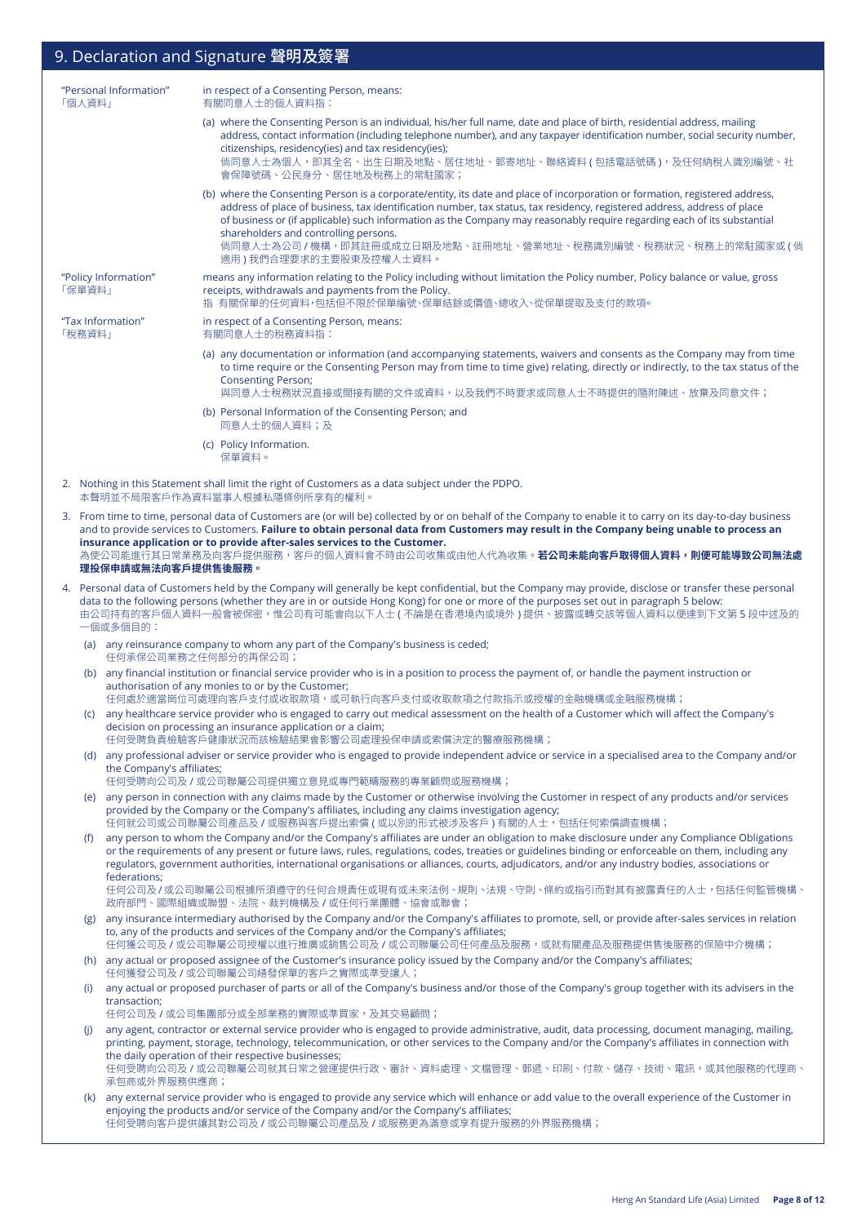#### "Personal Information" 「個人資料」 in respect of a Consenting Person, means: 有關同意人士的個人資料指: (a) where the Consenting Person is an individual, his/her full name, date and place of birth, residential address, mailing address, contact information (including telephone number), and any taxpayer identification number, social security number, citizenships, residency(ies) and tax residency(ies); 倘同意人士為個人,即其全名、出生日期及地點、居住地址、郵寄地址、聯絡資料 ( 包括電話號碼 ),及任何納稅人識別編號、社 會保障號碼、公民身分、居住地及稅務上的常駐國家; (b) where the Consenting Person is a corporate/entity, its date and place of incorporation or formation, registered address, address of place of business, tax identification number, tax status, tax residency, registered address, address of place of business or (if applicable) such information as the Company may reasonably require regarding each of its substantial shareholders and controlling persons. 倘同意人士為公司 / 機構,即其註冊或成立日期及地點、註冊地址、營業地址、稅務識別編號、稅務狀況、稅務上的常駐國家或 ( 倘 適用 ) 我們合理要求的主要股東及控權人士資料。 "Policy Information" 「保單資料」 means any information relating to the Policy including without limitation the Policy number, Policy balance or value, gross receipts, withdrawals and payments from the Policy. 指 有關保單的任何資料,包括但不限於保單編號、保單結餘或價值、總收入、從保單提取及支付的款項。 "Tax Information" 「稅務資料」 in respect of a Consenting Person, means: 有關同意人士的稅務資料指: (a) any documentation or information (and accompanying statements, waivers and consents as the Company may from time to time require or the Consenting Person may from time to time give) relating, directly or indirectly, to the tax status of the Consenting Person; 與同意人士稅務狀況直接或間接有關的文件或資料,以及我們不時要求或同意人士不時提供的隨附陳述、放棄及同意文件; (b) Personal Information of the Consenting Person; and 同意人士的個人資料;及 (c) Policy Information. 保單資料。 2. Nothing in this Statement shall limit the right of Customers as a data subject under the PDPO. 本聲明並不局限客戶作為資料當事人根據私隱條例所享有的權利。 3. From time to time, personal data of Customers are (or will be) collected by or on behalf of the Company to enable it to carry on its day-to-day business and to provide services to Customers. **Failure to obtain personal data from Customers may result in the Company being unable to process an insurance application or to provide after-sales services to the Customer.** 為使公司能進行其日常業務及向客戶提供服務,客戶的個人資料會不時由公司收集或由他人代為收集。**若公司未能向客戶取得個人資料,則便可能導致公司無法處 理投保申請或無法向客戶提供售後服務。** 4. Personal data of Customers held by the Company will generally be kept confidential, but the Company may provide, disclose or transfer these personal data to the following persons (whether they are in or outside Hong Kong) for one or more of the purposes set out in paragraph 5 below: 由公司持有的客戶個人資料一般會被保密,惟公司有可能會向以下人士 ( 不論是在香港境內或境外 ) 提供、披露或轉交該等個人資料以便達到下文第 5 段中述及的 一個或多個目的: (a) any reinsurance company to whom any part of the Company's business is ceded; 任何承保公司業務之任何部分的再保公司; (b) any financial institution or financial service provider who is in a position to process the payment of, or handle the payment instruction or authorisation of any monies to or by the Customer; 任何處於適當崗位可處理向客戶支付或收下的容戶支付或收取款項之付款指示或授權的金融機構或金融服務機構; (c) any healthcare service provider who is engaged to carry out medical assessment on the health of a Customer which will affect the Company's decision on processing an insurance application or a claim; 任何受聘負責檢驗客戶健康狀況而該檢驗結果會影響公司處理投保申請或索償決定的醫療服務機構; (d) any professional adviser or service provider who is engaged to provide independent advice or service in a specialised area to the Company and/or the Company's affiliates; 任何受聘向公司及 / 或公司聯屬公司提供獨立意見或專門範疇服務的專業顧問或服務機構; (e) any person in connection with any claims made by the Customer or otherwise involving the Customer in respect of any products and/or services provided by the Company or the Company's affiliates, including any claims investigation agency; 任何就公司或公司聯屬公司產品及 / 或服務與客戶提出索償 ( 或以別的形式被涉及客戶 ) 有關的人士, 包括任何索償調查機構; (f) any person to whom the Company and/or the Company's affiliates are under an obligation to make disclosure under any Compliance Obligations or the requirements of any present or future laws, rules, regulations, codes, treaties or guidelines binding or enforceable on them, including any regulators, government authorities, international organisations or alliances, courts, adjudicators, and/or any industry bodies, associations or federations; 任何公司及/或公司聯屬公司根據所須遵守的任何合規責任或現有或未來法例、規則、法規、守則、條約或指引而對其有披露責任的人士,包括任何監管機構、 政府部門、國際組織或聯盟、法院、裁判機構及 / 或任何行業團體、協會或聯會; (g) any insurance intermediary authorised by the Company and/or the Company's affiliates to promote, sell, or provide after-sales services in relation to, any of the products and services of the Company and/or the Company's affiliates; 任何獲公司及 / 或公司聯屬公司授權以進行推廣或銷售公司及 / 或公司聯屬公司任何產品及服務,或就有關產品及服務提供售後服務的保險中介機構; (h) any actual or proposed assignee of the Customer's insurance policy issued by the Company and/or the Company's affiliates; 任何獲發公司及 / 或公司聯屬公司繕發保單的客戶之實際或準受讓人; (i) any actual or proposed purchaser of parts or all of the Company's business and/or those of the Company's group together with its advisers in the transaction; 任何公司及 / 或公司集團部分或全部業務的實際或準買家,及其交易顧問; (j) any agent, contractor or external service provider who is engaged to provide administrative, audit, data processing, document managing, mailing, printing, payment, storage, technology, telecommunication, or other services to the Company and/or the Company's affiliates in connection with the daily operation of their respective businesses; 任何受聘向公司及 / 或公司聯屬公司就其日常之營運提供行政、審計、資料處理、文檔管理、郵遞、印刷、付款、儲存、技術、電訊,或其他服務的代理商、 承包商或外界服務供應商; (k) any external service provider who is engaged to provide any service which will enhance or add value to the overall experience of the Customer in enjoying the products and/or service of the Company and/or the Company's affiliates; 任何受聘向客戶提供讓其對公司及 / 或公司聯屬公司產品及 / 或服務更為滿意或享有提升服務的外界服務機構; 9. Declaration and Signature 聲明及簽署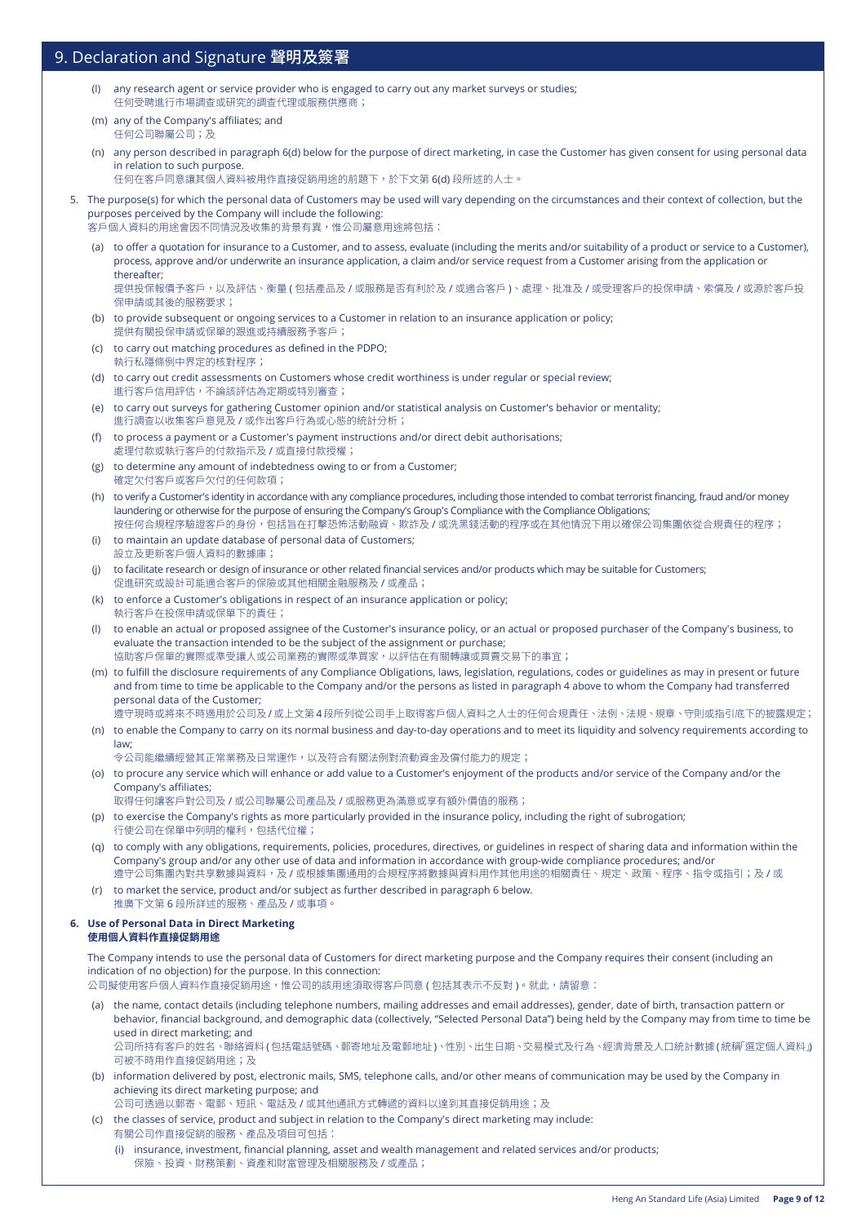- any research agent or service provider who is engaged to carry out any market surveys or studies; 任何受聘進行市場調查或研究的調查代理或服務供應商;
- (m) any of the Company's affiliates; and 任何公司聯屬公司;及
- (n) any person described in paragraph 6(d) below for the purpose of direct marketing, in case the Customer has given consent for using personal data in relation to such purpose.
	- 任何在客戶同意讓其個人資料被用作直接促銷用途的前題下,於下文第 6(d) 段所述的人士。
- 5. The purpose(s) for which the personal data of Customers may be used will vary depending on the circumstances and their context of collection, but the purposes perceived by the Company will include the following: 客戶個人資料的用途會因不同情況及收集的背景有異,惟公司屬意用途將包括:
	- (a) to offer a quotation for insurance to a Customer, and to assess, evaluate (including the merits and/or suitability of a product or service to a Customer), process, approve and/or underwrite an insurance application, a claim and/or service request from a Customer arising from the application or thereafter;

提供投保報價予客戶,以及評估、衡量 ( 包括產品及 / 或服務是否有利於及 / 或適合客戶 )、處理、批准及 / 或受理客戶的投保申請、索償及 / 或源於客戶投 保申請或其後的服務要求;

- (b) to provide subsequent or ongoing services to a Customer in relation to an insurance application or policy; 提供有關投保申請或保單的跟進或持續服務予客戶;
- (c) to carry out matching procedures as defined in the PDPO; 執行私隱條例中界定的核對程序;
- (d) to carry out credit assessments on Customers whose credit worthiness is under regular or special review; 進行客戶信用評估,不論該評估為定期或特別審查;
- (e) to carry out surveys for gathering Customer opinion and/or statistical analysis on Customer's behavior or mentality; 進行調查以收集客戶意見及 / 或作出客戶行為或心態的統計分析;
- (f) to process a payment or a Customer's payment instructions and/or direct debit authorisations; 處理付款或執行客戶的付款指示及 / 或直接付款授權;
- (g) to determine any amount of indebtedness owing to or from a Customer; 確定欠付客戶或客戶欠付的任何款項;
- (h) to verify a Customer's identity in accordance with any compliance procedures, including those intended to combat terrorist financing, fraud and/or money laundering or otherwise for the purpose of ensuring the Company's Group's Compliance with the Compliance Obligations; 按任何合規程序驗證客戶的身份,包括旨在打擊恐怖活動融資、欺詐及 / 或洗黑錢活動的程序或在其他情況下用以確保公司集團依從合規責任的程序;
- (i) to maintain an update database of personal data of Customers; 設立及更新客戶個人資料的數據庫;
- (j) to facilitate research or design of insurance or other related financial services and/or products which may be suitable for Customers; 促進研究或設計可能適合客戶的保險或其他相關金融服務及 / 或產品;
- (k) to enforce a Customer's obligations in respect of an insurance application or policy; 執行客戶在投保申請或保單下的責任;
- (l) to enable an actual or proposed assignee of the Customer's insurance policy, or an actual or proposed purchaser of the Company's business, to evaluate the transaction intended to be the subject of the assignment or purchase; 協助客戶保單的實際或準受讓人或公司業務的實際或準買家,以評估在有關轉讓或買賣交易下的事宜;
- (m) to fulfill the disclosure requirements of any Compliance Obligations, laws, legislation, regulations, codes or guidelines as may in present or future and from time to time be applicable to the Company and/or the persons as listed in paragraph 4 above to whom the Company had transferred personal data of the Customer;
- 遵守現時或將來不時適用於公司及 / 或上文第 4 段所列從公司手上取得客戶個人資料之人士的任何合規責任、法例、法規、規章、守則或指引底下的披露規定; (n) to enable the Company to carry on its normal business and day-to-day operations and to meet its liquidity and solvency requirements according to law;

令公司能繼續經營其正常業務及日常運作,以及符合有關法例對流動資金及償付能力的規定;

- (o) to procure any service which will enhance or add value to a Customer's enjoyment of the products and/or service of the Company and/or the Company's affiliates;
	- 取得任何讓客戶對公司及 / 或公司聯屬公司產品及 / 或服務更為滿意或享有額外價值的服務;
- (p) to exercise the Company's rights as more particularly provided in the insurance policy, including the right of subrogation; 行使公司在保單中列明的權利,包括代位權;
- (q) to comply with any obligations, requirements, policies, procedures, directives, or guidelines in respect of sharing data and information within the Company's group and/or any other use of data and information in accordance with group-wide compliance procedures; and/or 遵守公司集團內對共享數據與資料,及 / 或根據集團通用的合規程序將數據與資料用作其他用途的相關責任、規定、政策、程序、指令或指引;及 / 或
- (r) to market the service, product and/or subject as further described in paragraph 6 below. 推廣下文第 6 段所詳述的服務、產品及 / 或事項。

#### **6. Use of Personal Data in Direct Marketing 使用個人資料作直接促銷用途**

The Company intends to use the personal data of Customers for direct marketing purpose and the Company requires their consent (including an indication of no objection) for the purpose. In this connection:

公司擬使用客戶個人資料作直接促銷用途,惟公司的該用途須取得客戶同意 ( 包括其表示不反對 )。就此,請留意:

(a) the name, contact details (including telephone numbers, mailing addresses and email addresses), gender, date of birth, transaction pattern or behavior, financial background, and demographic data (collectively, "Selected Personal Data") being held by the Company may from time to time be used in direct marketing; and

公司所持有客戶的姓名、聯絡資料(包括電話號碼、郵寄地址及電郵地址)、性別、出生日期、交易模式及行為、經濟背景及人口統計數據(統稱「選定個人資料」) 可被不時用作直接促銷用途;及

(b) information delivered by post, electronic mails, SMS, telephone calls, and/or other means of communication may be used by the Company in achieving its direct marketing purpose; and

公司可透過以郵寄、電郵、短訊、電話及/或其他通訊方式轉遞的資料以達到其直接促銷用途;及

- (c) the classes of service, product and subject in relation to the Company's direct marketing may include: 有關公司作直接促銷的服務、產品及項目可包括:
	- (i) insurance, investment, financial planning, asset and wealth management and related services and/or products; 保險、投資、財務策劃、資產和財富管理及相關服務及 / 或產品;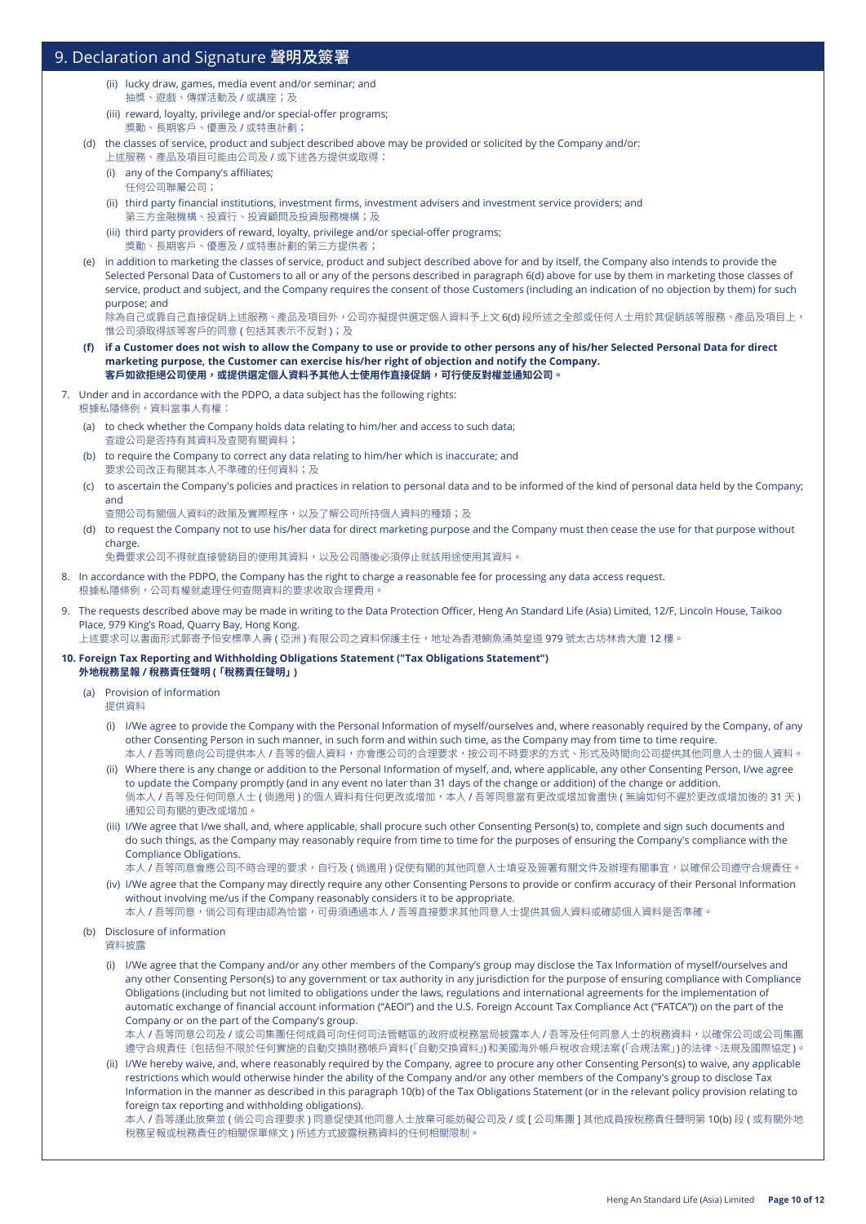- (ii) lucky draw, games, media event and/or seminar; and 抽獎、遊戲、傳媒活動及 / 或講座;及
- (iii) reward, loyalty, privilege and/or special-offer programs; 獎勵、長期客戶、優惠及 / 或特惠計劃;
- (d) the classes of service, product and subject described above may be provided or solicited by the Company and/or:
	- 上述服務、產品及項目可能由公司及 / 或下述各方提供或取得:
	- (i) any of the Company's affiliates; 任何公司聯屬公司;
	- (ii) third party financial institutions, investment firms, investment advisers and investment service providers; and 第三方金融機構、投資行、投資顧問及投資服務機構;及
	- (iii) third party providers of reward, loyalty, privilege and/or special-offer programs; 獎勵、長期客戶、優惠及 / 或特惠計劃的第三方提供者;
- (e) in addition to marketing the classes of service, product and subject described above for and by itself, the Company also intends to provide the Selected Personal Data of Customers to all or any of the persons described in paragraph 6(d) above for use by them in marketing those classes of service, product and subject, and the Company requires the consent of those Customers (including an indication of no objection by them) for such purpose; and

```
除為自己或靠自己直接促銷上述服務、產品及項目外,公司亦擬提供選定個人資料予上文 6(d) 段所述之全部或任何人士用於其促銷該等服務、產品及項目上,
惟公司須取得該等客戶的同意 ( 包括其表示不反對 );及
```
- (f) if a Customer does not wish to allow the Company to use or provide to other persons any of his/her Selected Personal Data for direct **marketing purpose, the Customer can exercise his/her right of objection and notify the Company. 客戶如欲拒絕公司使用,或提供選定個人資料予其他人士使用作直接促銷,可行使反對權並通知公司。**
- 7. Under and in accordance with the PDPO, a data subject has the following rights: 根據私隱條例,資料當事人有權:
	- (a) to check whether the Company holds data relating to him/her and access to such data;
	- 查證公司是否持有其資料及查閱有關資料;
	- (b) to require the Company to correct any data relating to him/her which is inaccurate; and 要求公司改正有關其本人不準確的任何資料;及
	- (c) to ascertain the Company's policies and practices in relation to personal data and to be informed of the kind of personal data held by the Company; and
		- 查閱公司有關個人資料的政策及實際程序,以及了解公司所持個人資料的種類;及
	- (d) to request the Company not to use his/her data for direct marketing purpose and the Company must then cease the use for that purpose without charge.
		- 免費要求公司不得就直接營銷目的使用其資料,以及公司隨後必須停止就該用途使用其資料。
- 8. In accordance with the PDPO, the Company has the right to charge a reasonable fee for processing any data access request. 根據私隱條例,公司有權就處理任何查閱資料的要求收取合理費用。
- 9. The requests described above may be made in writing to the Data Protection Officer, Heng An Standard Life (Asia) Limited, 12/F, Lincoln House, Taikoo Place, 979 King's Road, Quarry Bay, Hong Kong. 上述要求可以書面形式郵寄予恒安標準人壽 ( 亞洲 ) 有限公司之資料保護主任,地址為香港鰂魚涌英皇道 979 號太古坊林肯大廈 12 樓。

#### **10. Foreign Tax Reporting and Withholding Obligations Statement ("Tax Obligations Statement") 外地稅務呈報 / 稅務責任聲明 (「稅務責任聲明」)**

- (a) Provision of information 提供資料
	- (i) I/We agree to provide the Company with the Personal Information of myself/ourselves and, where reasonably required by the Company, of any other Consenting Person in such manner, in such form and within such time, as the Company may from time to time require. 本人 / 吾等同意向公司提供本人 / 吾等的個人資料,亦會應公司的合理要求,按公司不時要求的方式、形式及時間向公司提供其他同意人士的個人資料。
	- (ii) Where there is any change or addition to the Personal Information of myself, and, where applicable, any other Consenting Person, I/we agree to update the Company promptly (and in any event no later than 31 days of the change or addition) of the change or addition. 倘本人 / 吾等及任何同意人士 ( 倘適用 ) 的個人資料有任何更改或增加,本人 / 吾等同意當有更改或增加會盡快 ( 無論如何不遲於更改或增加後的 31 天 ) 通知公司有關的更改或增加。
	- (iii) I/We agree that I/we shall, and, where applicable, shall procure such other Consenting Person(s) to, complete and sign such documents and do such things, as the Company may reasonably require from time to time for the purposes of ensuring the Company's compliance with the Compliance Obligations.
	- 本人 / 吾等同意會應公司不時合理的要求,自行及 ( 倘適用 ) 促使有關的其他同意人士填妥及簽署有關文件及辦理有關事宜,以確保公司遵守合規責任。 (iv) I/We agree that the Company may directly require any other Consenting Persons to provide or confirm accuracy of their Personal Information without involving me/us if the Company reasonably considers it to be appropriate. 本人 / 吾等同意,倘公司有理由認為恰當,可毋須通過本人 / 吾等直接要求其他同意人士提供其個人資料或確認個人資料是否準確。
- (b) Disclosure of information

資料披露

(i) I/We agree that the Company and/or any other members of the Company's group may disclose the Tax Information of myself/ourselves and any other Consenting Person(s) to any government or tax authority in any jurisdiction for the purpose of ensuring compliance with Compliance Obligations (including but not limited to obligations under the laws, regulations and international agreements for the implementation of automatic exchange of financial account information ("AEOI") and the U.S. Foreign Account Tax Compliance Act ("FATCA")) on the part of the Company or on the part of the Company's group.

本人 / 吾等同意公司及 / 或公司集團任何成員可向任何司法管轄區的政府或稅務當局披露本人 / 吾等及任何同意人士的稅務資料,以確保公司或公司集團 遵守合規責任(包括但不限於任何實施的自動交換財務帳戶資料「( 自動交換資料」)和美國海外帳戶稅收合規法案「( 合規法案」)的法律、法規及國際協定)。

(ii) I/We hereby waive, and, where reasonably required by the Company, agree to procure any other Consenting Person(s) to waive, any applicable restrictions which would otherwise hinder the ability of the Company and/or any other members of the Company's group to disclose Tax Information in the manner as described in this paragraph 10(b) of the Tax Obligations Statement (or in the relevant policy provision relating to foreign tax reporting and withholding obligations).

本人 / 吾等謹此放棄並 ( 倘公司合理要求 ) 同意促使其他同意人士放棄可能妨礙公司及 / 或 [ 公司集團 ] 其他成員按稅務責任聲明第 10(b) 段 ( 或有關外地 稅務呈報或稅務責任的相關保單條文 ) 所述方式披露稅務資料的任何相關限制。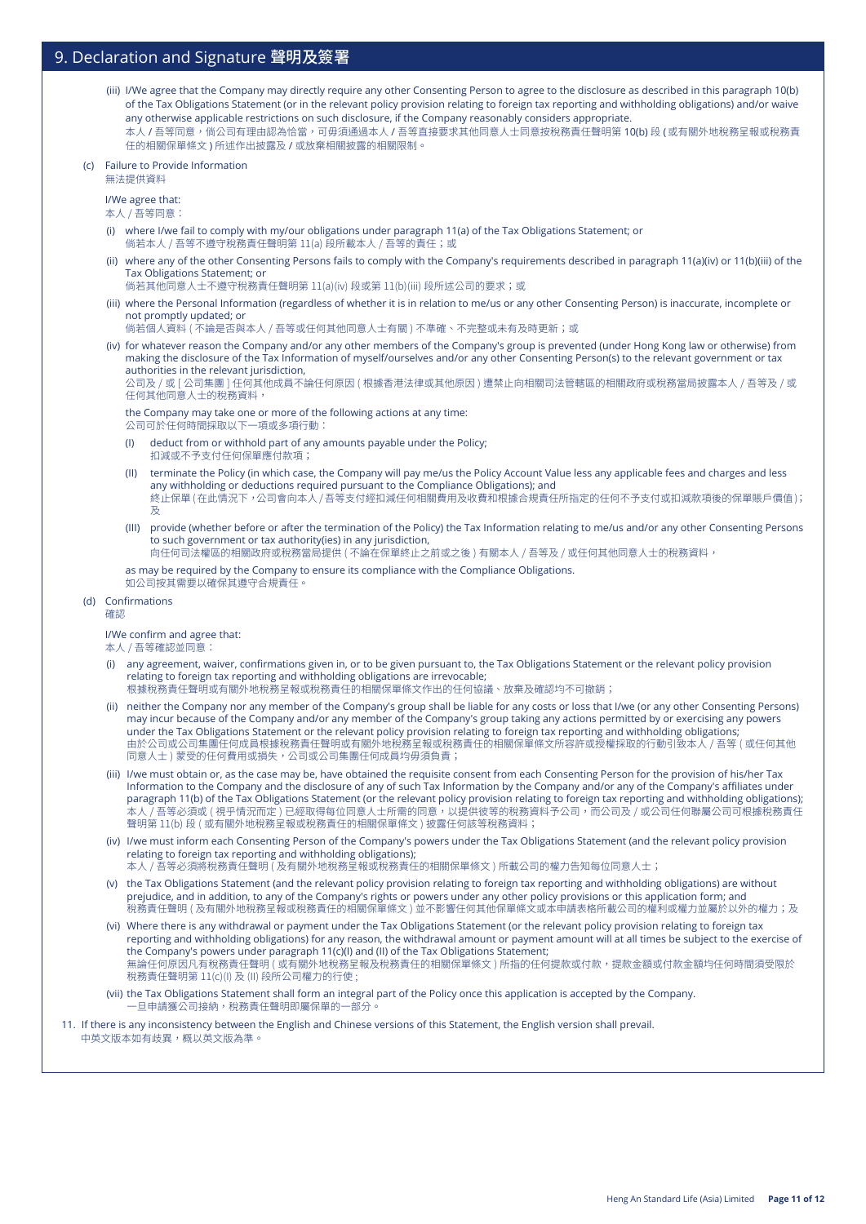- (iii) I/We agree that the Company may directly require any other Consenting Person to agree to the disclosure as described in this paragraph 10(b) of the Tax Obligations Statement (or in the relevant policy provision relating to foreign tax reporting and withholding obligations) and/or waive any otherwise applicable restrictions on such disclosure, if the Company reasonably considers appropriate. 本人 / 吾等同意,倘公司有理由認為恰當,可毋須通過本人 / 吾等直接要求其他同意人士同意按稅務責任聲明第 10(b) 段 (或有關外地稅務呈報或稅務責 任的相關保單條文 ) 所述作出披露及 / 或放棄相關披露的相關限制。
- (c) Failure to Provide Information

無法提供資料

I/We agree that: 本人 / 吾等同意:

- (i) where I/we fail to comply with my/our obligations under paragraph 11(a) of the Tax Obligations Statement; or 倘若本人 / 吾等不遵守稅務責任聲明第 11(a) 段所載本人 / 吾等的責任;或
- (ii) where any of the other Consenting Persons fails to comply with the Company's requirements described in paragraph 11(a)(iv) or 11(b)(iii) of the Tax Obligations Statement; or
	- 倘若其他同意人士不遵守稅務責任聲明第 11(a)(iv) 段或第 11(b)(iii) 段所述公司的要求;或
- (iii) where the Personal Information (regardless of whether it is in relation to me/us or any other Consenting Person) is inaccurate, incomplete or not promptly updated; or
	- 倘若個人資料 ( 不論是否與本人 / 吾等或任何其他同意人士有關 ) 不準確、不完整或未有及時更新;或
- (iv) for whatever reason the Company and/or any other members of the Company's group is prevented (under Hong Kong law or otherwise) from making the disclosure of the Tax Information of myself/ourselves and/or any other Consenting Person(s) to the relevant government or tax authorities in the relevant jurisdiction,

公司及 / 或 [ 公司集團 ] 任何其他成員不論任何原因 ( 根據香港法律或其他原因 ) 遭禁止向相關司法管轄區的相關政府或稅務當局披露本人 / 吾等及 / 或 任何其他同意人士的稅務資料,

 the Company may take one or more of the following actions at any time: 公司可於任何時間採取以下一項或多項行動:

- (I) deduct from or withhold part of any amounts payable under the Policy; 扣減或不予支付任何保單應付款項;
- (II) terminate the Policy (in which case, the Company will pay me/us the Policy Account Value less any applicable fees and charges and less any withholding or deductions required pursuant to the Compliance Obligations); and 終止保單 ( 在此情況下,公司會向本人 / 吾等支付經扣減任何相關費用及收費和根據合規責任所指定的任何不予支付或扣減款項後的保單賬戶價值 ); 及
- (III) provide (whether before or after the termination of the Policy) the Tax Information relating to me/us and/or any other Consenting Persons to such government or tax authority(ies) in any jurisdiction,

向任何司法權區的相關政府或稅務當局提供 ( 不論在保單終止之前或之後 ) 有關本人 / 吾等及 / 或任何其他同意人士的稅務資料,

 as may be required by the Company to ensure its compliance with the Compliance Obligations. 如公司按其需要以確保其遵守合規責任。

#### (d) Confirmations

確認

I/We confirm and agree that:

本人 / 吾等確認並同意:

- (i) any agreement, waiver, confirmations given in, or to be given pursuant to, the Tax Obligations Statement or the relevant policy provision relating to foreign tax reporting and withholding obligations are irrevocable;
	- 根據稅務責任聲明或有關外地稅務呈報或稅務責任的相關保單條文作出的任何協議、放棄及確認均不可撤銷;
- (ii) neither the Company nor any member of the Company's group shall be liable for any costs or loss that I/we (or any other Consenting Persons) may incur because of the Company and/or any member of the Company's group taking any actions permitted by or exercising any powers under the Tax Obligations Statement or the relevant policy provision relating to foreign tax reporting and withholding obligations; 由於公司或公司集團任何成員根據稅務責任聲明或有關外地稅務呈報或稅務責任的相關保單條文所容許或授權採取的行動引致本人 / 吾等 ( 或任何其他 同意人士) 蒙受的任何費用或損失,公司或公司集團任何成員均毋須負責;
- (iii) I/we must obtain or, as the case may be, have obtained the requisite consent from each Consenting Person for the provision of his/her Tax Information to the Company and the disclosure of any of such Tax Information by the Company and/or any of the Company's affiliates under paragraph 11(b) of the Tax Obligations Statement (or the relevant policy provision relating to foreign tax reporting and withholding obligations); 本人 / 吾等必須或 ( 視乎情況而定 ) 已經取得每位同意人士所需的同意,以提供彼等的稅務資料予公司,而公司及 / 或公司任何聯屬公司可根據稅務責任 聲明第 11(b) 段 ( 或有關外地稅務呈報或稅務責任的相關保單條文 ) 披露任何該等稅務資料;
- (iv) I/we must inform each Consenting Person of the Company's powers under the Tax Obligations Statement (and the relevant policy provision relating to foreign tax reporting and withholding obligations);
	- 本人 / 吾等必須將稅務責任聲明 ( 及有關外地稅務呈報或稅務責任的相關保單條文 ) 所載公司的權力告知每位同意人士;
- (v) the Tax Obligations Statement (and the relevant policy provision relating to foreign tax reporting and withholding obligations) are without prejudice, and in addition, to any of the Company's rights or powers under any other policy provisions or this application form; and 稅務責任聲明 ( 及有關外地稅務呈報或稅務責任的相關保單條文 ) 並不影響任何其他保單條文或本申請表格所載公司的權利或權力並屬於以外的權力;及
- (vi) Where there is any withdrawal or payment under the Tax Obligations Statement (or the relevant policy provision relating to foreign tax reporting and withholding obligations) for any reason, the withdrawal amount or payment amount will at all times be subject to the exercise of the Company's powers under paragraph 11(c)(I) and (II) of the Tax Obligations Statement; 無論任何原因凡有稅務責任聲明 ( 或有關外地稅務呈報及稅務責任的相關保單條文 ) 所指的任何提款或付款,提款金額或付款金額均任何時間須受限於 稅務責任聲明第 11(c)(I) 及 (II) 段所公司權力的行使 ;
- (vii) the Tax Obligations Statement shall form an integral part of the Policy once this application is accepted by the Company. -旦申請獲公司接納,稅務責任聲明即屬保單的一部分

#### 11. If there is any inconsistency between the English and Chinese versions of this Statement, the English version shall prevail. 中英文版本如有歧異,概以英文版為準。